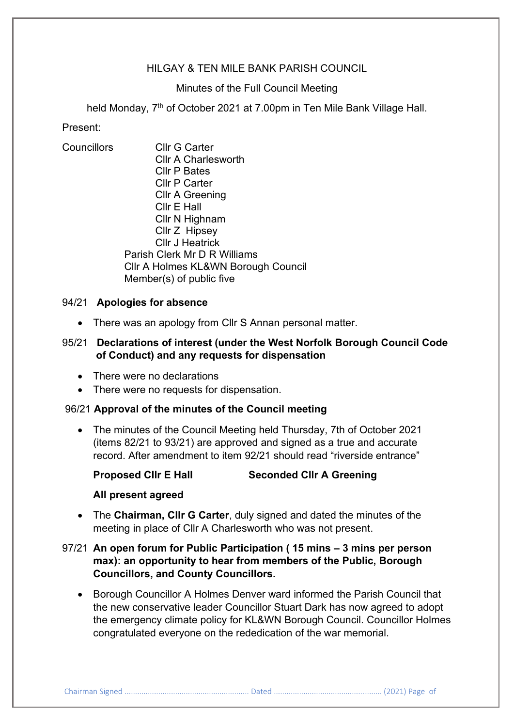## HILGAY & TEN MILE BANK PARISH COUNCIL

### Minutes of the Full Council Meeting

held Monday, 7<sup>th</sup> of October 2021 at 7.00pm in Ten Mile Bank Village Hall.

## Present:

Councillors Cllr G Carter Cllr A Charlesworth Cllr P Bates Cllr P Carter Cllr A Greening Cllr E Hall Cllr N Highnam Cllr Z Hipsey Cllr J Heatrick Parish Clerk Mr D R Williams Cllr A Holmes KL&WN Borough Council Member(s) of public five

## 94/21 **Apologies for absence**

• There was an apology from Cllr S Annan personal matter.

# 95/21 **Declarations of interest (under the West Norfolk Borough Council Code of Conduct) and any requests for dispensation**

- There were no declarations
- There were no requests for dispensation.

### 96/21 **Approval of the minutes of the Council meeting**

• The minutes of the Council Meeting held Thursday, 7th of October 2021 (items 82/21 to 93/21) are approved and signed as a true and accurate record. After amendment to item 92/21 should read "riverside entrance"

### **Proposed Cllr E Hall Seconded Cllr A Greening**

### **All present agreed**

• The **Chairman, Cllr G Carter**, duly signed and dated the minutes of the meeting in place of Cllr A Charlesworth who was not present.

# 97/21 **An open forum for Public Participation ( 15 mins – 3 mins per person max): an opportunity to hear from members of the Public, Borough Councillors, and County Councillors.**

• Borough Councillor A Holmes Denver ward informed the Parish Council that the new conservative leader Councillor Stuart Dark has now agreed to adopt the emergency climate policy for KL&WN Borough Council. Councillor Holmes congratulated everyone on the rededication of the war memorial.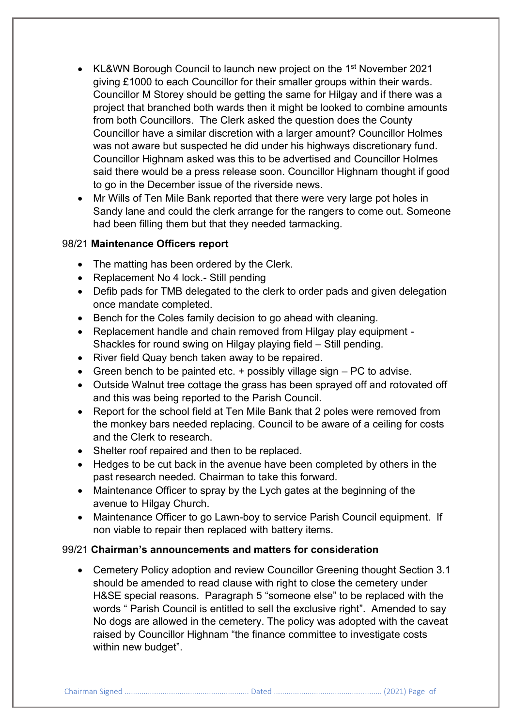- KL&WN Borough Council to launch new project on the 1<sup>st</sup> November 2021 giving £1000 to each Councillor for their smaller groups within their wards. Councillor M Storey should be getting the same for Hilgay and if there was a project that branched both wards then it might be looked to combine amounts from both Councillors. The Clerk asked the question does the County Councillor have a similar discretion with a larger amount? Councillor Holmes was not aware but suspected he did under his highways discretionary fund. Councillor Highnam asked was this to be advertised and Councillor Holmes said there would be a press release soon. Councillor Highnam thought if good to go in the December issue of the riverside news.
- Mr Wills of Ten Mile Bank reported that there were very large pot holes in Sandy lane and could the clerk arrange for the rangers to come out. Someone had been filling them but that they needed tarmacking.

### 98/21 **Maintenance Officers report**

- The matting has been ordered by the Clerk.
- Replacement No 4 lock.- Still pending
- Defib pads for TMB delegated to the clerk to order pads and given delegation once mandate completed.
- Bench for the Coles family decision to go ahead with cleaning.
- Replacement handle and chain removed from Hilgay play equipment Shackles for round swing on Hilgay playing field – Still pending.
- River field Quay bench taken away to be repaired.
- Green bench to be painted etc.  $+$  possibly village sign  $-$  PC to advise.
- Outside Walnut tree cottage the grass has been sprayed off and rotovated off and this was being reported to the Parish Council.
- Report for the school field at Ten Mile Bank that 2 poles were removed from the monkey bars needed replacing. Council to be aware of a ceiling for costs and the Clerk to research.
- Shelter roof repaired and then to be replaced.
- Hedges to be cut back in the avenue have been completed by others in the past research needed. Chairman to take this forward.
- Maintenance Officer to spray by the Lych gates at the beginning of the avenue to Hilgay Church.
- Maintenance Officer to go Lawn-boy to service Parish Council equipment. If non viable to repair then replaced with battery items.

## 99/21 **Chairman's announcements and matters for consideration**

• Cemetery Policy adoption and review Councillor Greening thought Section 3.1 should be amended to read clause with right to close the cemetery under H&SE special reasons. Paragraph 5 "someone else" to be replaced with the words " Parish Council is entitled to sell the exclusive right". Amended to say No dogs are allowed in the cemetery. The policy was adopted with the caveat raised by Councillor Highnam "the finance committee to investigate costs within new budget".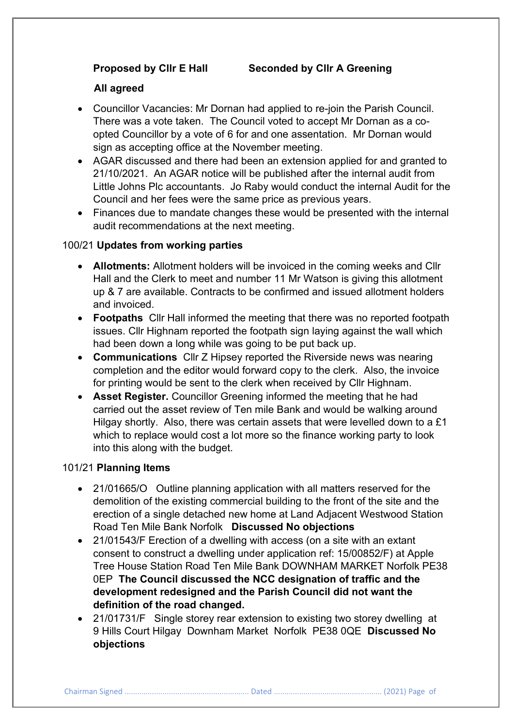## **Proposed by Cllr E Hall Seconded by Cllr A Greening**

### **All agreed**

- Councillor Vacancies: Mr Dornan had applied to re-join the Parish Council. There was a vote taken. The Council voted to accept Mr Dornan as a coopted Councillor by a vote of 6 for and one assentation. Mr Dornan would sign as accepting office at the November meeting.
- AGAR discussed and there had been an extension applied for and granted to 21/10/2021. An AGAR notice will be published after the internal audit from Little Johns Plc accountants. Jo Raby would conduct the internal Audit for the Council and her fees were the same price as previous years.
- Finances due to mandate changes these would be presented with the internal audit recommendations at the next meeting.

### 100/21 **Updates from working parties**

- **Allotments:** Allotment holders will be invoiced in the coming weeks and Cllr Hall and the Clerk to meet and number 11 Mr Watson is giving this allotment up & 7 are available. Contracts to be confirmed and issued allotment holders and invoiced.
- **Footpaths** Cllr Hall informed the meeting that there was no reported footpath issues. Cllr Highnam reported the footpath sign laying against the wall which had been down a long while was going to be put back up.
- **Communications** Cllr Z Hipsey reported the Riverside news was nearing completion and the editor would forward copy to the clerk. Also, the invoice for printing would be sent to the clerk when received by Cllr Highnam.
- **Asset Register.** Councillor Greening informed the meeting that he had carried out the asset review of Ten mile Bank and would be walking around Hilgay shortly. Also, there was certain assets that were levelled down to a £1 which to replace would cost a lot more so the finance working party to look into this along with the budget.

#### 101/21 **Planning Items**

- 21/01665/O Outline planning application with all matters reserved for the demolition of the existing commercial building to the front of the site and the erection of a single detached new home at Land Adjacent Westwood Station Road Ten Mile Bank Norfolk **Discussed No objections**
- 21/01543/F Erection of a dwelling with access (on a site with an extant consent to construct a dwelling under application ref: 15/00852/F) at Apple Tree House Station Road Ten Mile Bank DOWNHAM MARKET Norfolk PE38 0EP **The Council discussed the NCC designation of traffic and the development redesigned and the Parish Council did not want the definition of the road changed.**
- 21/01731/F Single storey rear extension to existing two storey dwelling at 9 Hills Court Hilgay Downham Market Norfolk PE38 0QE **Discussed No objections**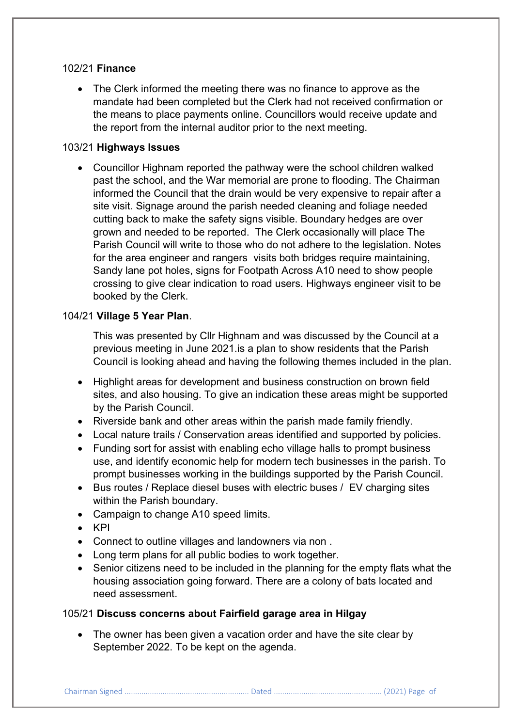## 102/21 **Finance**

• The Clerk informed the meeting there was no finance to approve as the mandate had been completed but the Clerk had not received confirmation or the means to place payments online. Councillors would receive update and the report from the internal auditor prior to the next meeting.

## 103/21 **Highways Issues**

• Councillor Highnam reported the pathway were the school children walked past the school, and the War memorial are prone to flooding. The Chairman informed the Council that the drain would be very expensive to repair after a site visit. Signage around the parish needed cleaning and foliage needed cutting back to make the safety signs visible. Boundary hedges are over grown and needed to be reported. The Clerk occasionally will place The Parish Council will write to those who do not adhere to the legislation. Notes for the area engineer and rangers visits both bridges require maintaining, Sandy lane pot holes, signs for Footpath Across A10 need to show people crossing to give clear indication to road users. Highways engineer visit to be booked by the Clerk.

## 104/21 **Village 5 Year Plan**.

This was presented by Cllr Highnam and was discussed by the Council at a previous meeting in June 2021.is a plan to show residents that the Parish Council is looking ahead and having the following themes included in the plan.

- Highlight areas for development and business construction on brown field sites, and also housing. To give an indication these areas might be supported by the Parish Council.
- Riverside bank and other areas within the parish made family friendly.
- Local nature trails / Conservation areas identified and supported by policies.
- Funding sort for assist with enabling echo village halls to prompt business use, and identify economic help for modern tech businesses in the parish. To prompt businesses working in the buildings supported by the Parish Council.
- Bus routes / Replace diesel buses with electric buses / EV charging sites within the Parish boundary.
- Campaign to change A10 speed limits.
- KPI
- Connect to outline villages and landowners via non .
- Long term plans for all public bodies to work together.
- Senior citizens need to be included in the planning for the empty flats what the housing association going forward. There are a colony of bats located and need assessment.

## 105/21 **Discuss concerns about Fairfield garage area in Hilgay**

• The owner has been given a vacation order and have the site clear by September 2022. To be kept on the agenda.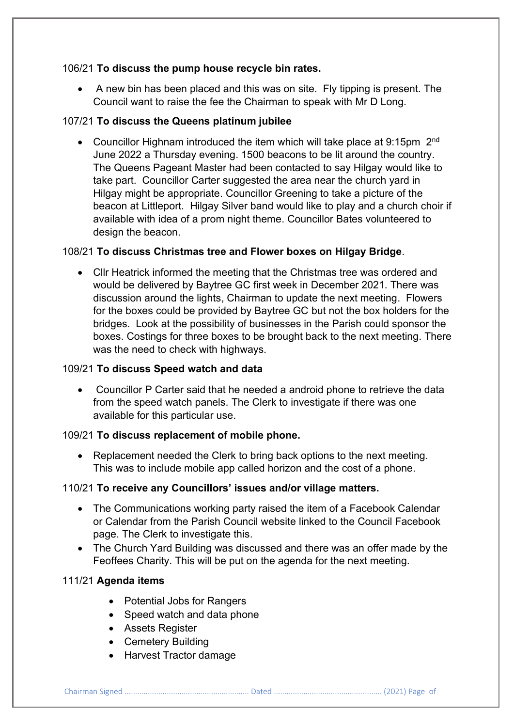# 106/21 **To discuss the pump house recycle bin rates.**

• A new bin has been placed and this was on site. Fly tipping is present. The Council want to raise the fee the Chairman to speak with Mr D Long.

# 107/21 **To discuss the Queens platinum jubilee**

• Councillor Highnam introduced the item which will take place at 9:15pm 2<sup>nd</sup> June 2022 a Thursday evening. 1500 beacons to be lit around the country. The Queens Pageant Master had been contacted to say Hilgay would like to take part. Councillor Carter suggested the area near the church yard in Hilgay might be appropriate. Councillor Greening to take a picture of the beacon at Littleport. Hilgay Silver band would like to play and a church choir if available with idea of a prom night theme. Councillor Bates volunteered to design the beacon.

# 108/21 **To discuss Christmas tree and Flower boxes on Hilgay Bridge**.

• Cllr Heatrick informed the meeting that the Christmas tree was ordered and would be delivered by Baytree GC first week in December 2021. There was discussion around the lights, Chairman to update the next meeting. Flowers for the boxes could be provided by Baytree GC but not the box holders for the bridges. Look at the possibility of businesses in the Parish could sponsor the boxes. Costings for three boxes to be brought back to the next meeting. There was the need to check with highways.

# 109/21 **To discuss Speed watch and data**

• Councillor P Carter said that he needed a android phone to retrieve the data from the speed watch panels. The Clerk to investigate if there was one available for this particular use.

## 109/21 **To discuss replacement of mobile phone.**

• Replacement needed the Clerk to bring back options to the next meeting. This was to include mobile app called horizon and the cost of a phone.

## 110/21 **To receive any Councillors' issues and/or village matters.**

- The Communications working party raised the item of a Facebook Calendar or Calendar from the Parish Council website linked to the Council Facebook page. The Clerk to investigate this.
- The Church Yard Building was discussed and there was an offer made by the Feoffees Charity. This will be put on the agenda for the next meeting.

# 111/21 **Agenda items**

- Potential Jobs for Rangers
- Speed watch and data phone
- Assets Register
- Cemetery Building
- Harvest Tractor damage

Chairman Signed ........................................................... Dated ................................................... (2021) Page of